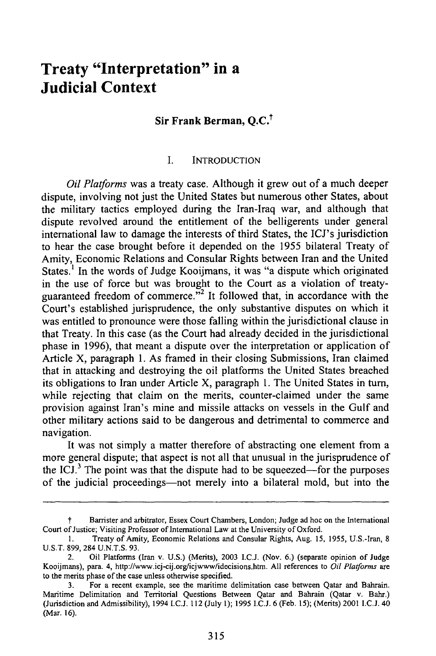# **Treaty "Interpretation" in a Judicial Context**

## **Sir Frank Berman, Q.C.<sup>t</sup>**

#### I. **INTRODUCTION**

*Oil Platforms* was a treaty case. Although it grew out of a much deeper dispute, involving not just the United States but numerous other States, about the military tactics employed during the Iran-Iraq war, and although that dispute revolved around the entitlement of the belligerents under general international law to damage the interests of third States, the ICJ's jurisdiction to hear the case brought before it depended on the 1955 bilateral Treaty of Amity, Economic Relations and Consular Rights between Iran and the United States.<sup>1</sup> In the words of Judge Kooijmans, it was "a dispute which originated in the use of force but was brought to the Court as a violation of treatyguaranteed freedom of commerce."<sup>2</sup> It followed that, in accordance with the Court's established jurisprudence, the only substantive disputes on which it was entitled to pronounce were those falling within the jurisdictional clause in that Treaty. In this case (as the Court had already decided in the jurisdictional phase in 1996), that meant a dispute over the interpretation or application of Article X, paragraph 1. As framed in their closing Submissions, Iran claimed that in attacking and destroying the oil platforms the United States breached its obligations to Iran under Article X, paragraph 1. The United States in turn, while rejecting that claim on the merits, counter-claimed under the same provision against Iran's mine and missile attacks on vessels in the Gulf and other military actions said to be dangerous and detrimental to commerce and navigation.

It was not simply a matter therefore of abstracting one element from a more general dispute; that aspect is not all that unusual in the jurisprudence of the ICJ. $<sup>3</sup>$  The point was that the dispute had to be squeezed—for the purposes</sup> of the judicial proceedings-not merely into a bilateral mold, but into the

Barrister and arbitrator, Essex Court Chambers, London; Judge ad hoc on the International Court of Justice; Visiting Professor of International Law at the University of Oxford.

<sup>1.</sup> Treaty of Amity, Economic Relations and Consular Rights, Aug. 15, 1955, U.S.-Iran, 8 U.S.T. 899, 284 U.N.T.S. 93.

<sup>2.</sup> Oil Platforms (Iran v. U.S.) (Merits), 2003 I.C.J. (Nov. 6.) (separate opinion of Judge Kooijmans), para. 4, http://www.icj-cij.org/icjwww/idecisions.htm. All references to *Oil* Platforms *are* to the merits phase of the case unless otherwise specified.

<sup>3.</sup> For a recent example, see the maritime delimitation case between Qatar and Bahrain. Maritime Delimitation and Territorial Questions Between Qatar and Bahrain (Qatar v. Bahr.) (Jurisdiction and Admissibility), 1994 I.C.J. 112 (July 1); 1995 I.C.J. 6 (Feb. 15); (Merits) 2001 I.C.J. 40 (Mar. 16).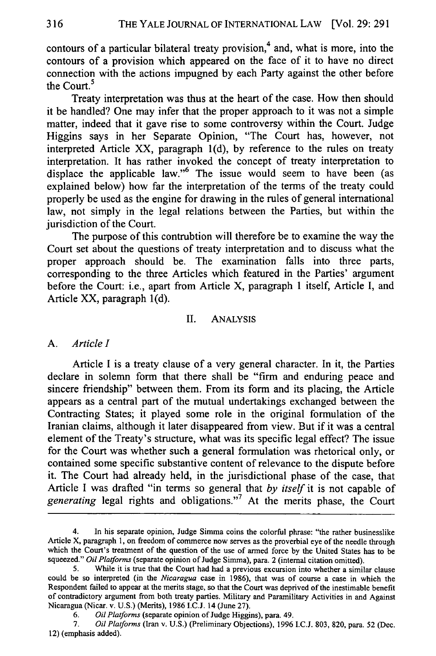contours of a particular bilateral treaty provision,<sup>4</sup> and, what is more, into the contours of a provision which appeared on the face of it to have no direct connection with the actions impugned by each Party against the other before the Court.<sup>5</sup>

Treaty interpretation was thus at the heart of the case. How then should it be handled? One may infer that the proper approach to it was not a simple matter, indeed that it gave rise to some controversy within the Court. Judge Higgins says in her Separate Opinion, "The Court has, however, not interpreted Article XX, paragraph l(d), by reference to the rules on treaty interpretation. It has rather invoked the concept of treaty interpretation to displace the applicable law."<sup>6</sup> The issue would seem to have been (as explained below) how far the interpretation of the terms of the treaty could properly be used as the engine for drawing in the rules of general international law, not simply in the legal relations between the Parties, but within the jurisdiction of the Court.

The purpose of this contrubtion will therefore be to examine the way the Court set about the questions of treaty interpretation and to discuss what the proper approach should be. The examination falls into three parts, corresponding to the three Articles which featured in the Parties' argument before the Court: i.e., apart from Article X, paragraph 1 itself, Article I, and Article XX, paragraph l(d).

#### II. ANALYSIS

#### *A. Article I*

Article I is a treaty clause of a very general character. In it, the Parties declare in solemn form that there shall be "firm and enduring peace and sincere friendship" between them. From its form and its placing, the Article appears as a central part of the mutual undertakings exchanged between the Contracting States; it played some role in the original formulation of the Iranian claims, although it later disappeared from view. But if it was a central element of the Treaty's structure, what was its specific legal effect? The issue for the Court was whether such a general formulation was rhetorical only, or contained some specific substantive content of relevance to the dispute before it. The Court had already held, in the jurisdictional phase of the case, that Article I was drafted "in terms so general that *by itself* it is not capable of generating legal rights and obligations."<sup>7</sup> At the merits phase, the Court

In his separate opinion, Judge Simma coins the colorful phrase: "the rather businesslike Article X, paragraph 1, on freedom of commerce now serves as the proverbial eye of the needle through which the Court's treatment of the question of the use of armed force by the United States has to be squeezed." *Oil Platforms* (separate opinion of Judge Simma), para. 2 (internal citation omitted).

While it is true that the Court had had a previous excursion into whether a similar clause could be so interpreted (in the *Nicaragua* case in 1986), that was of course a case in which the Respondent failed to appear at the merits stage, so that the Court was deprived of the inestimable benefit of contradictory argument from both treaty parties. Military and Paramilitary Activities in and Against Nicaragua (Nicar. v. U.S.) (Merits), 1986 I.C.J. 14 (June 27).

<sup>6.</sup> *Oil Platforms* (separate opinion of Judge Higgins), para. 49.

<sup>7.</sup> *Oil Platforms* (Iran v. U.S.) (Preliminary Objections), 1996 I.C.J. 803, 820, para. 52 (Dec. 12) (emphasis added).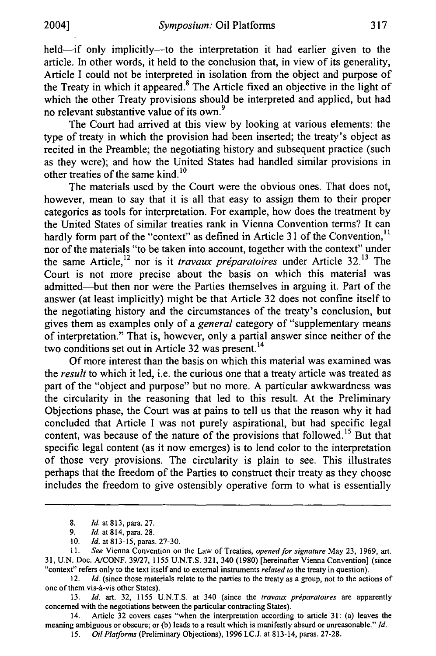2004]

held—if only implicitly—to the interpretation it had earlier given to the article. In other words, it held to the conclusion that, in view of its generality, Article I could not be interpreted in isolation from the object and purpose of the Treaty in which it appeared.<sup>8</sup> The Article fixed an objective in the light of which the other Treaty provisions should be interpreted and applied, but had no relevant substantive value of its own.<sup>9</sup>

The Court had arrived at this view by looking at various elements: the type of treaty in which the provision had been inserted; the treaty's object as recited in the Preamble; the negotiating history and subsequent practice (such as they were); and how the United States had handled similar provisions in other treaties of the same kind.<sup>10</sup>

The materials used by the Court were the obvious ones. That does not, however, mean to say that it is all that easy to assign them to their proper categories as tools for interpretation. For example, how does the treatment by the United States of similar treaties rank in Vienna Convention terms? It can hardly form part of the "context" as defined in Article 31 of the Convention,<sup>11</sup> nor of the materials "to be taken into account, together with the context" under the same Article,<sup>12</sup> nor is it *travaux préparatoires* under Article 32.<sup>13</sup> The Court is not more precise about the basis on which this material was admitted-but then nor were the Parties themselves in arguing it. Part of the answer (at least implicitly) might be that Article 32 does not confine itself to the negotiating history and the circumstances of the treaty's conclusion, but gives them as examples only of a *general* category of "supplementary means of interpretation." That is, however, only a partial answer since neither of the two conditions set out in Article 32 was present.<sup>14</sup>

Of more interest than the basis on which this material was examined was *the result* to which it led, i.e. the curious one that a treaty article was treated as part of the "object and purpose" but no more. A particular awkwardness was the circularity in the reasoning that led to this result. At the Preliminary Objections phase, the Court was at pains to tell us that the reason why it had concluded that Article I was not purely aspirational, but had specific legal content, was because of the nature of the provisions that followed.'5 But that specific legal content (as it now emerges) is to lend color to the interpretation of those very provisions. The circularity is plain to see. This illustrates perhaps that the freedom of the Parties to construct their treaty as they choose includes the freedom to give ostensibly operative form to what is essentially

14. Article 32 covers cases "when the interpretation according to article 31: (a) leaves the meaning ambiguous or obscure; or (b) leads to a result which is manifestly absurd or unreasonable." *Id.*

*15. Oil Platforms* (Preliminary Objections), 1996 I.C.J. at 813-14, paras. 27-28.

<sup>8.</sup> *Id.* at 813, para. 27.

*<sup>9.</sup> Id.* at 814, para. 28.

<sup>10.</sup> *Id.* at 813-15, paras. 27-30.

<sup>11.</sup> *See* Vienna Convention on the Law of Treaties, *opened for signature* May 23, 1969, art. 31, U.N. Doc. A/CONF. 39/27, 1155 U.N.T.S. 321, 340 (1980) [hereinafter Vienna Convention] (since "context" refers only to the text itself and to external instruments *related to* the treaty in question).

<sup>12.</sup> *Id.* (since those materials relate to the parties to the treaty as a group, not to the actions of one of them vis-A-vis other States).

<sup>13.</sup> *Id.* art. 32, 1155 U.N.T.S. at 340 (since the *travaux préparatoires* are apparently concerned with the negotiations between the particular contracting States).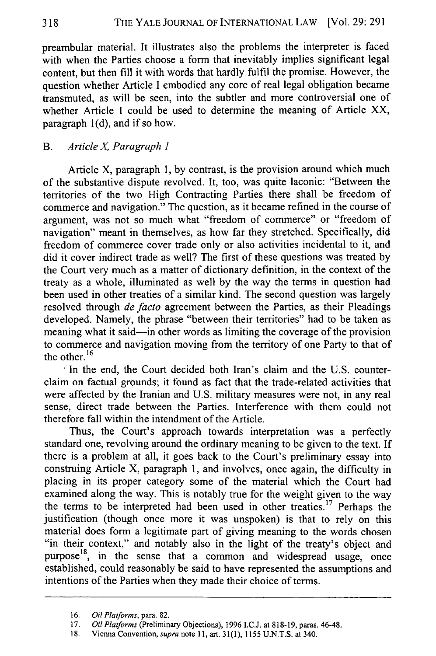preambular material. It illustrates also the problems the interpreter is faced with when the Parties choose a form that inevitably implies significant legal content, but then fill it with words that hardly fulfil the promise. However, the question whether Article I embodied any core of real legal obligation became transmuted, as will be seen, into the subtler and more controversial one of whether Article I could be used to determine the meaning of Article XX, paragraph 1(d), and if so how.

## B. *Article X, Paragraph 1*

Article X, paragraph 1, by contrast, is the provision around which much of the substantive dispute revolved. It, too, was quite laconic: "Between the territories of the two High Contracting Parties there shall be freedom of commerce and navigation." The question, as it became refined in the course of argument, was not so much what "freedom of commerce" or "freedom of navigation" meant in themselves, as how far they stretched. Specifically, did freedom of commerce cover trade only or also activities incidental to it, and did it cover indirect trade as well? The first of these questions was treated by the Court very much as a matter of dictionary definition, in the context of the treaty as a whole, illuminated as well by the way the terms in question had been used in other treaties of a similar kind. The second question was largely resolved through *de facto* agreement between the Parties, as their Pleadings developed. Namely, the phrase "between their territories" had to be taken as meaning what it said-in other words as limiting the coverage of the provision to commerce and navigation moving from the territory of one Party to that of the other. $16$ 

In the end, the Court decided both Iran's claim and the U.S. counterclaim on factual grounds; it found as fact that the trade-related activities that were affected by the Iranian and U.S. military measures were not, in any real sense, direct trade between the Parties. Interference with them could not therefore fall within the intendment of the Article.

Thus, the Court's approach towards interpretation was a perfectly standard one, revolving around the ordinary meaning to be given to the text. If there is a problem at all, it goes back to the Court's preliminary essay into construing Article X, paragraph 1, and involves, once again, the difficulty in placing in its proper category some of the material which the Court had examined along the way. This is notably true for the weight given to the way the terms to be interpreted had been used in other treaties.<sup>17</sup> Perhaps the justification (though once more it was unspoken) is that to rely on this material does form a legitimate part of giving meaning to the words chosen "in their context," and notably also in the light of the treaty's object and  $p$ urpose<sup>18</sup>, in the sense that a common and widespread usage, once established, could reasonably be said to have represented the assumptions and intentions of the Parties when they made their choice of terms.

<sup>16.</sup> *Oil Platforms,* para. 82.

<sup>17.</sup> *Oil Platforms* (Preliminary Objections), 1996 I.C.J. at 818-19, paras. 46-48.

**<sup>18.</sup>** Vienna Convention, *supra* note 11, art. 31(1), 1155 U.N.T.S. at 340.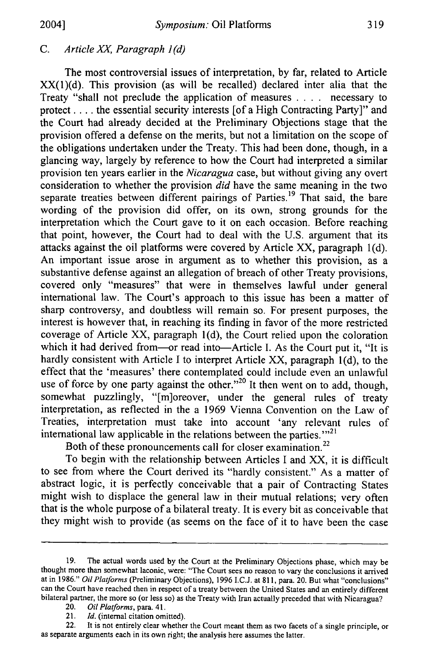2004]

#### *C. Article* XX, *Paragraph 1 (d)*

The most controversial issues of interpretation, by far, related to Article XX(1)(d). This provision (as will be recalled) declared inter alia that the Treaty "shall not preclude the application of measures .**. .** . necessary to protect .... the essential security interests [of a High Contracting Party]" and the Court had already decided at the Preliminary Objections stage that the provision offered a defense on the merits, but not a limitation on the scope of the obligations undertaken under the Treaty. This had been done, though, in a glancing way, largely by reference to how the Court had interpreted a similar provision ten years earlier in the *Nicaragua* case, but without giving any overt consideration to whether the provision *did* have the same meaning in the two separate treaties between different pairings of Parties.<sup>19</sup> That said, the bare wording of the provision did offer, on its own, strong grounds for the interpretation which the Court gave to it on each occasion. Before reaching that point, however, the Court had to deal with the U.S. argument that its attacks against the oil platforms were covered by Article XX, paragraph l(d). An important issue arose in argument as to whether this provision, as a substantive defense against an allegation of breach of other Treaty provisions, covered only "measures" that were in themselves lawful under general international law. The Court's approach to this issue has been a matter of sharp controversy, and doubtless will remain so. For present purposes, the interest is however that, in reaching its finding in favor of the more restricted coverage of Article XX, paragraph 1(d), the Court relied upon the coloration which it had derived from-or read into-Article I. As the Court put it, "It is hardly consistent with Article I to interpret Article XX, paragraph l(d), to the effect that the 'measures' there contemplated could include even an unlawful use of force by one party against the other. $^{20}$  It then went on to add, though, somewhat puzzlingly, "[m]oreover, under the general rules of treaty interpretation, as reflected in the a 1969 Vienna Convention on the Law of Treaties, interpretation must take into account 'any relevant rules of international law applicable in the relations between the parties.<sup>'''21</sup>

Both of these pronouncements call for closer examination.<sup>22</sup>

To begin with the relationship between Articles I and XX, it is difficult to see from where the Court derived its "hardly consistent." As a matter of abstract logic, it is perfectly conceivable that a pair of Contracting States might wish to displace the general law in their mutual relations; very often that is the whole purpose of a bilateral treaty. It is every bit as conceivable that they might wish to provide (as seems on the face of it to have been the case

22. It is not entirely clear whether the Court meant them as two facets of a single principle, or as separate arguments each in its own right; the analysis here assumes the latter.

<sup>19.</sup> The actual words used by the Court at the Preliminary Objections phase, which may be thought more than somewhat laconic, were: "The Court sees no reason to vary the conclusions it arrived at in 1986." *Oil Platforms* (Preliminary Objections), 1996 I.C.J. at 811, para. 20. But what "conclusions" can the Court have reached then in respect of a treaty between the United States and an entirely different bilateral partner, the more so (or less so) as the Treaty with Iran actually preceded that with Nicaragua?

<sup>20.</sup> *Oil Platforms,* para. 41.

<sup>21.</sup> *Id.* (internal citation omitted).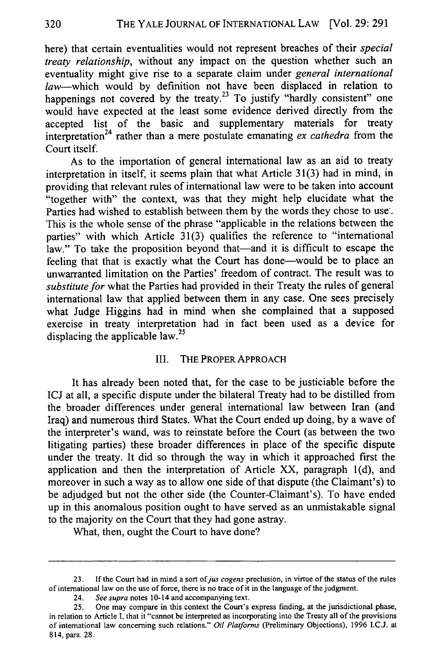here) that certain eventualities would not represent breaches of their *special treaty relationship,* without any impact on the question whether such an eventuality might give rise to a separate claim under *general international* law--which would by definition not have been displaced in relation to happenings not covered by the treaty.<sup>23</sup> To justify "hardly consistent" one would have expected at the least some evidence derived directly from the accepted list of the basic and supplementary materials for treaty interpretation 24 rather than a mere postulate emanating *ex cathedra* from the Court itself.

As to the importation of general international law as an aid to treaty interpretation in itself, it seems plain that what Article 31(3) had in mind, in providing that relevant rules of international law were to be taken into account "together with" the context, was that they might help elucidate what the Parties had wished to establish between them by the words they chose to use. This is the whole sense of the phrase "applicable in the relations between the parties" with which Article 31(3) qualifies the reference to "international law." To take the proposition beyond that—and it is difficult to escape the feeling that that is exactly what the Court has done-would be to place an unwarranted limitation on the Parties' freedom of contract. The result was to *substitute for* what the Parties had provided in their Treaty the rules of general international law that applied between them in any case. One sees precisely what Judge Higgins had in mind when she complained that a supposed exercise in treaty interpretation had in fact been used as a device for displacing the applicable  $law<sup>25</sup>$ .

#### III. THE PROPER APPROACH

It has already been noted that, for the case to be justiciable before the ICJ at all, a specific dispute under the bilateral Treaty had to be distilled from the broader differences under general international law between Iran (and Iraq) and numerous third States. What the Court ended up doing, by a wave of the interpreter's wand, was to reinstate before the Court (as between the two litigating parties) these broader differences in place of the specific dispute under the treaty. It did so through the way in which it approached first the application and then the interpretation of Article XX, paragraph 1(d), and moreover in such a way as to allow one side of that dispute (the Claimant's) to be adjudged but not the other side (the Counter-Claimant's). To have ended up in this anomalous position ought to have served as an unmistakable signal to the majority on the Court that they had gone astray.

What, then, ought the Court to have done?

<sup>23.</sup> If the Court had in mind a sort *ofjus cogens* preclusion, in virtue of the status of the rules of international law on the use of force, there is no trace of it in the language of the judgment.

<sup>24.</sup> *See supra* notes 10-14 and accompanying text.

<sup>25.</sup> One may compare in this context the Court's express finding, at the jurisdictional phase, in relation to Article **1,** that it "cannot be interpreted as incorporating into the Treaty all of the provisions of international law concerning such relations." *Oil Platforms* (Preliminary Objections), 1996 I.C.J. at 814, para. 28.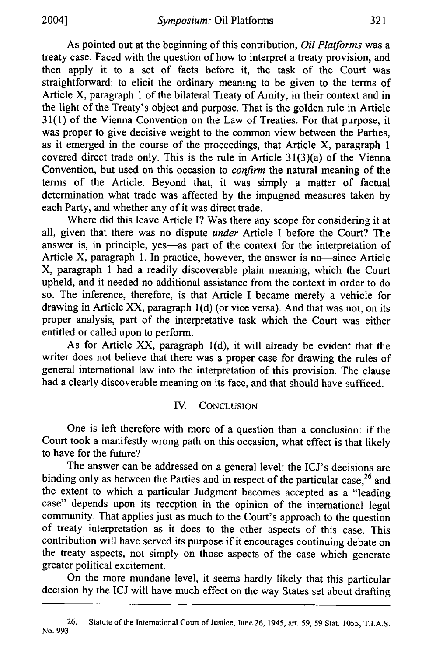As pointed out at the beginning of this contribution, *Oil Platforms* was a treaty case. Faced with the question of how to interpret a treaty provision, and then apply it to a set of facts before it, the task of the Court was straightforward: to elicit the ordinary meaning to be given to the terms of Article X, paragraph 1 of the bilateral Treaty of Amity, in their context and in the light of the Treaty's object and purpose. That is the golden rule in Article 31 (1) of the Vienna Convention on the Law of Treaties. For that purpose, it was proper to give decisive weight to the common view between the Parties, as it emerged in the course of the proceedings, that Article X, paragraph 1 covered direct trade only. This is the rule in Article 31(3)(a) of the Vienna Convention, but used on this occasion to *confirm* the natural meaning of the terms of the Article. Beyond that, it was simply a matter of factual determination what trade was affected by the impugned measures taken by each Party, and whether any of it was direct trade.

Where did this leave Article I? Was there any scope for considering it at all, given that there was no dispute *under* Article I before the Court? The answer is, in principle, yes-as part of the context for the interpretation of Article X, paragraph 1. In practice, however, the answer is no-since Article X, paragraph 1 had a readily discoverable plain meaning, which the Court upheld, and it needed no additional assistance from the context in order to do so. The inference, therefore, is that Article I became merely a vehicle for drawing in Article XX, paragraph 1(d) (or vice versa). And that was not, on its proper analysis, part of the interpretative task which the Court was either entitled or called upon to perform.

As for Article XX, paragraph l(d), it will already be evident that the writer does not believe that there was a proper case for drawing the rules of general international law into the interpretation of this provision. The clause had a clearly discoverable meaning on its face, and that should have sufficed.

### IV. CONCLUSION

One is left therefore with more of a question than a conclusion: if the Court took a manifestly wrong path on this occasion, what effect is that likely to have for the future?

The answer can be addressed on a general level: the ICJ's decisions are binding only as between the Parties and in respect of the particular case,<sup>26</sup> and the extent to which a particular Judgment becomes accepted as a "leading case" depends upon its reception in the opinion of the international legal community. That applies just as much to the Court's approach to the question of treaty interpretation as it does to the other aspects of this case. This contribution will have served its purpose if it encourages continuing debate on the treaty aspects, not simply on those aspects of the case which generate greater political excitement.

On the more mundane level, it seems hardly likely that this particular decision by the ICJ will have much effect on the way States set about drafting

26. Statute of the International Court of Justice, June 26, 1945, art. 59, 59 Stat. 1055, T.I.A.S. No. 993.